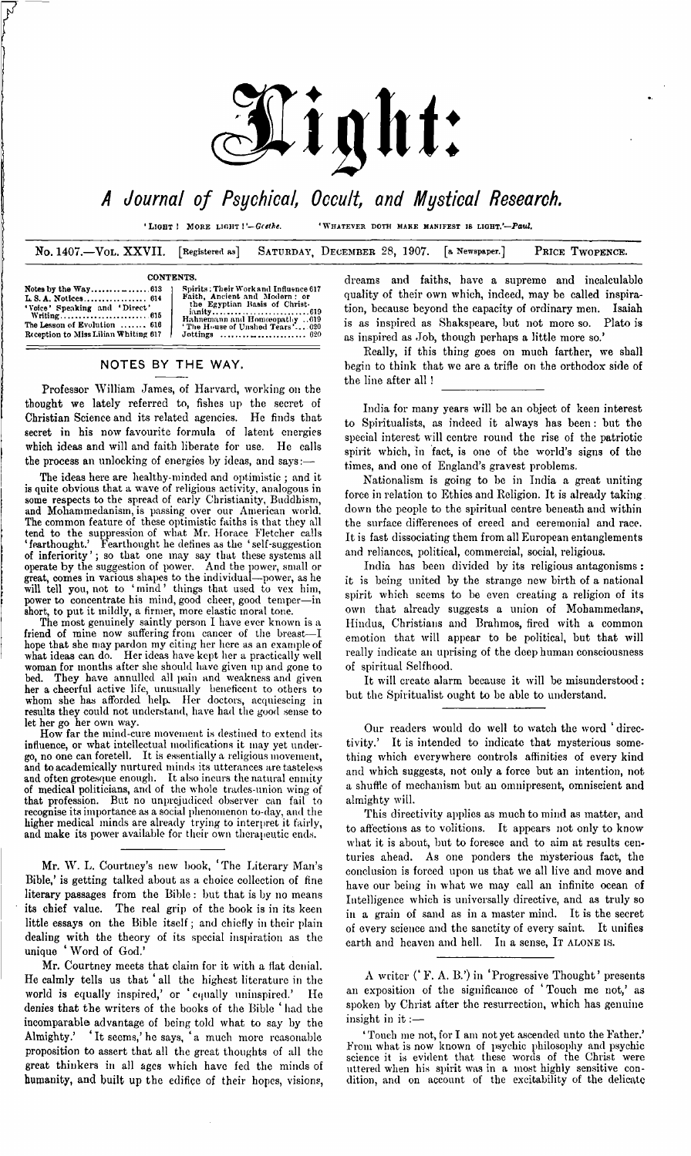

# 4 *Journal of Psychical, Occult, and Mystical Research.*

■Light **<sup>I</sup>** <sup>M</sup>ore light **I***Gcethe.* 'Whatever doth make manifest is light.'—*Paul.*

No. 1407.—Vol. XXVII. **[Registered as] SATURDAY, DECEMBER** 28, 1907. **[a Newspaper.] PRICE TWOPENCE.**

**ianity.................................................619**

#### **CONTENTS.**

| Spirits: Their Work and Influence 617<br>Faith, Ancient and Modern: or<br>the Egyptian Basis of Christ-<br>Hahnemann and Homeopathy 619<br>The House of Unshed Tears' 020<br>Jottings $\dots \dots \dots \dots \dots \dots \dots \dots$ 620 |
|---------------------------------------------------------------------------------------------------------------------------------------------------------------------------------------------------------------------------------------------|
|                                                                                                                                                                                                                                             |

# NOTES BY THE WAY.

Professor William James, of Harvard, working on the thought we lately referred to, fishes up the secret of Christian Science and its related agencies. He finds that secret in his now favourite formula of latent energies which ideas and will and faith liberate for use. He calls the process an unlocking of energies by ideas, and says:

The ideas here are healthy-minded and optimistic ; and it is quite obvious that a wave of religious activity, analogous in some respects to the spread of early Christianity, Buddhism, and Mohammedanism, is passing over our American world. The common feature of these optimistic faiths is that they all tend to the suppression of what Mr. Horace Fletcher calls 'fearthought.' Fearthought he defines as the 'self-suggestion of inferiority'; so that one may say that these systems all operate by the suggestion of power. And the power, small or great, comes in various shapes to the individual—power, as he will tell you, not to 'mind' things that used to vex him, power to concentrate his mind, good cheer, good temper—in short, to put it mildly, a firmer, more elastic moral tone.

The most genuinely saintly person I have ever known is a friend of mine now suffering from cancer of the breast—I hope that she may pardon my citing her here as an example of what ideas can do. Her ideas have kept her a practically well woman for months after she should have given up and gone to bed. They have annulled all pain and weakness and given her a cheerful active life, unusually beneficent to others to whom she has afforded help. Her doctors, acquiescing in results they could not understand, have had the good sense to let her go her own way.

How far the mind-cure movement is destined to extend its influence, or what intellectual modifications it may yet under-go, no one can foretell. It is essentially a religious movement, and to academically nurtured minds its utterances are tasteless and often grotesque enough. It also incurs the natural enmity of medical politicians, and of the whole trades-union wing of that profession. But no unprejudiced observer can fail to recognise its importance as a social phenomenon to-day, and the higher medical minds are already trying to interpret it fairly, and make its power available for their own therapeutic ends.

Mr. W. L. Courtney's new book, ' The Literary Man's Bible,' is getting talked about as a choice collection of fine literary passages from the Bible : but that is by no means its chief value. The real grip of the book is in its keen little essays on the Bible itself; and chiefly in their plain dealing with the theory of its special inspiration as the unique ' Word of God.'

Mr. Courtney meets that claim for it with a flat denial. He calmly tells us that 'all the highest literature in the world is equally inspired,' or ' equally uninspired.' He denies that the writers of the books of the Bible ' had the incomparable advantage of being told what to say by the Almighty.' \* It seems,'he says, 'a much more reasonable proposition to assert that all the great thoughts of all the great thinkers in all ages which have fed the minds of humanity, and built up the edifice of their hopes, visions,

dreams and faiths, have a supreme and incalculable quality of their own which, indeed, may be called inspiration, because beyond the capacity of ordinary men. Isaiah is as inspired as Shakspeare, but not more so. Plato is as inspired as Job, though perhaps a little more so.'

Really, if this thing goes on much farther, we shall begin to think that we are a trifle on the orthodox side of the line after all !

India for many years will be an object of keen interest to Spiritualists, as indeed it always has been : but the special interest will centre round the rise of the patriotic spirit which, in fact, is one of the world's signs of the times, and one of England's gravest problems.

Nationalism is going to be in India a great uniting force in relation to Ethics and Religion. It is already taking down the people to the spiritual centre beneath and within the surface differences of creed and ceremonial and race. It is fast dissociating them from all European entanglements and reliances, political, commercial, social, religious.

India has been divided by its religious antagonisms : it is being united by the strange new birth of a national spirit which seems to be even creating a religion of its own that already suggests a union of Mohammedans, Hindus, Christians and Brahmos, fired with a common emotion that will appear to be political, but that will really indicate an uprising of the deep human consciousness of spiritual Selfhood.

It will create alarm because it will be misunderstood : but the Spiritualist ought to be able to understand.

Our readers would do well to watch the word ' directivity.' It is intended to indicate that mysterious something which everywhere controls affinities of every kind and which suggests, not only a force but an intention, not a shuffle of mechanism but an omnipresent, omniscient and almighty will.

This directivity applies as much to mind as matter, and to affections as to volitions. It appears not only to know what it is about, but to foresee and to aim at results centuries ahead. As one ponders the mysterious fact, the conclusion is forced upon us that we all live and move and have our being in what we may call an infinite ocean of Intelligence which is universally directive, and as truly so in a grain of sand as in a master mind. It is the secret of every science and the sanctity of every saint. It unifies earth and heaven and hell. In a sense, IT ALONE IS.

A writer (' F. A. B.') in 'Progressive Thought' presents an exposition of the significance of 'Touch me not,' as spoken by Christ after the resurrection, which has genuine insight in it :—

' Touch me not, for I am not yet ascended unto the Father.' From what is now known of psychic philosophy and psychic science it is evident that these words of the Christ were uttered when his spirit was in a most highly sensitive condition, and on account of the excitability of the delicate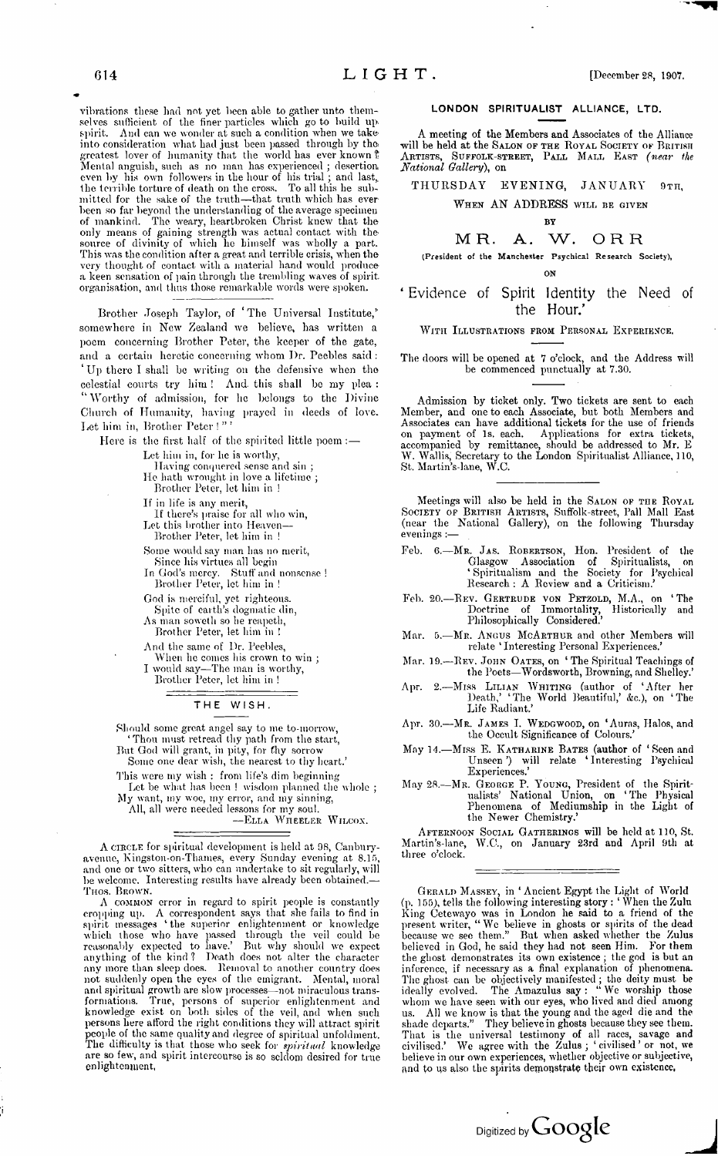vibrations these had not yet been able to gather unto themselves sufficient of the finer particles which go to build up spirit. And can we wonder at such a condition when we take into consideration what had just been passed through by tho greatest lover of humanity that the world has ever known ? Mental anguish, such as no man has experienced ; desertion, even by his own followers in the hour of his trial; and last, the terrible torture of death on the cross. To all this he submitted for the sake of the truth—that truth which has everbeen so far beyond the understanding of the average specimen of mankind. The weary, heartbroken Christ knew that the only means of gaining strength was actual contact with the source of divinity of which he himself was wholly a part. This was the condition after a great and terrible crisis, when the very thought of contact with a material hand would producea keen sensation of pain through the trembling waves of spirit, organisation, and thus those remarkable words were spoken.

Brother Joseph Taylor, of 'The Universal Institute,' somewhere in New Zealand we believe, has written a poem concerning Brother Peter, the keeper of the gate, and a certain heretic concerning whom I)r. Peebles said : ' Up there I shall be writing on the defensive when the celestial courts try him ! And. this shall be my plea : "Worthy of admission, for he belongs to the Divine Church of Humanity, having prayed in deeds of love. Let him in, Brother Peter ! " '

Here is the first half of the spirited little poem :-Let him in, for he is worthy, Having conquered sense and sin ; He hath wrought in love a lifetime; Brother Peter, let him in ! If in life is any merit, If there's praise for all who win, Let this brother into Heaven-Brother Peter, let him in ! Some would say man has no merit, Since his virtues all begin In God's mercy. Stuff and nonsense ! Brother Peter, let him in <sup>1</sup> God is merciful, yet righteous. Spite of earth's dogmatic din, As man soweth so he reapeth, Brother Peter, let him in ! And the same of Dr. Peebles, When he comes his crown to win ; I would say—The man is worthy, Brother Peter, let him in <sup>1</sup>

### THE WISH.

Should some great angel say to me to-morrow, 'Thou must retread thy path from the start, But God will grant, in pity, for thy sorrow Some one dear wish, the nearest to thy heart.'

This were my wish : from life's dim beginning Let be what has been ! wisdom planned the whole ;

My want, my woe, my error, and my sinning, All, all were needed lessons for my soul.

—Ella Wheeler Wilcox.

A circle for spiritual development is held at 98, Canbnryavenue, Kingston-on-Thames, every Sunday evening at 8.15, and one or two sitters, who can undertake to sit regularly, will be welcome. Interesting results have already been obtained.— THOS. BROWN.<br>
A COMMON error in regard to spirit people is constantly

A common error in regard to spirit people is constantly cropping up. A correspondent says that she fails to find in spirit messages ' the superior enlightenment or knowledge which those who have passed through the veil could be reasonably expected to have.' But why should we expect anything of the kind ? Death does not alter the character any more than sleep does. Removal to another country does not suddenly open the eyes of the emigrant. Mental, moral and spiritual growth are slow processes—not miraculous transformations. True, persons of superior enlightenment and knowledge exist on both sides of the veil, and when such persons here afford the right conditions they will attract spirit people of the same quality and degree of spiritual unfoldment. The difficulty is that those who seek for *spiritual* knowledge are so few, and spirit intercourse is so seldom desired for true enlightenment,

### LONDON SPIRITUALIST ALLIANCE, LTD.

A meeting of the Members and Associates of the Alliance will be held at the SALON OF THE ROYAL SOCIETY OF BRITISH Artists, Suffolk-street, Pall Mall East *(near the National Gallery),* on

THURSDAY EVENING, JANUARY 9th,

#### WHEN AN ADDRESS WILL BE GIVEN

by

# MR. A. W. ORR

**(President of the Manchester Psychical Research Society), ON**

<sup>4</sup> Evidence of Spirit Identity the Need of the Hour.'

## WITH ILLUSTRATIONS FROM PERSONAL EXPERIENCE.

The doors will be opened at 7 o'clock, and the Address will be commenced punctually at 7.30.

Admission by ticket only. Two tickets are sent to each Member, and one to each Associate, but both Members and Associates can have additional tickets for the use of friends on payment of Is. each. Applications for extra tickets, accompanied by remittance, should be addressed to Mr. E W. Wallis, Secretary to the London Spiritualist Alliance, 110, St. Martin's-lane, W.C.

Meetings will also be held in the SALON OF THE ROYAL Society of British Artists, Suffolk-street, Pall Mall East (near the National Gallery), on the following Thursday evenings :—

- Feb. 6.-MR. JAS. ROBERTSON, Hon. President of the Glasgow Association of Spiritualists, on ' Spiritualism and the Society for Psychical Research : A Review and a Criticism.'
- Feb. 20.—Rev. Gertrude von Petzold, M.A., on ' The Doctrine of Immortality, Historically and Philosophically Considered.'
- Mar. 5.-MR. ANGUS MCARTHUR and other Members will relate 'Interesting Personal Experiences.
- Mar. 19.—REV. JOHN OATES, on 'The Spiritual Teachings of the Poets—Wordsworth, Browning, and Shelley.'
- Apr. 2.—Miss Lilian Whiting (author of 'After her Death,' 'The World Beautiful,' &c.), on 'The Life Radiant.'
- Apr. 30.—Mr. James I. Wedgwood, on 'Auras, Halos, and the Occult Significance of Colours.'
- May 14.—Miss E. Katharine Bates (author of 'Seen and Unseen') will relate 'Interesting Psychical Experiences.'
- May 28.—Mr. George P. Young, President of the Spiritualists' National Union, on ' The Physical Phenomena of Mediumship in the Light of the Newer Chemistry.'

Afternoon Social Gatherings will be held at 110, St. Martin's-lane, W.C., on January 23rd and April 9th at three o'clock.

Gerald Massey, in ' Ancient Egypt the Light of World (p. 155), tells the following interesting story : ' When the Zulu King Cetewayo was in London he said to a friend of the present writer, "We believe in ghosts or spirits of the dead because we see them." But when asked whether the Zulus believed in God, he said they had not seen Him. For them the ghost demonstrates its own existence ; the god is but an inference, if necessary as a final explanation of phenomena. The ghost can be objectively manifested ; the deity must be ideally evolved. The Atnazulus say: "We worship those whom we have seen with our eyes, who lived and died among us. All we know is that the young and the aged die and the shade departs." They believe in ghosts because they see them. That is the universal testimony of all races, savage and civilised.' We agree with the Zulus ; ' civilised ' or not, we believe in our own experiences, whether objective or subjective, and to us also the spirits demonstrate their own existence,

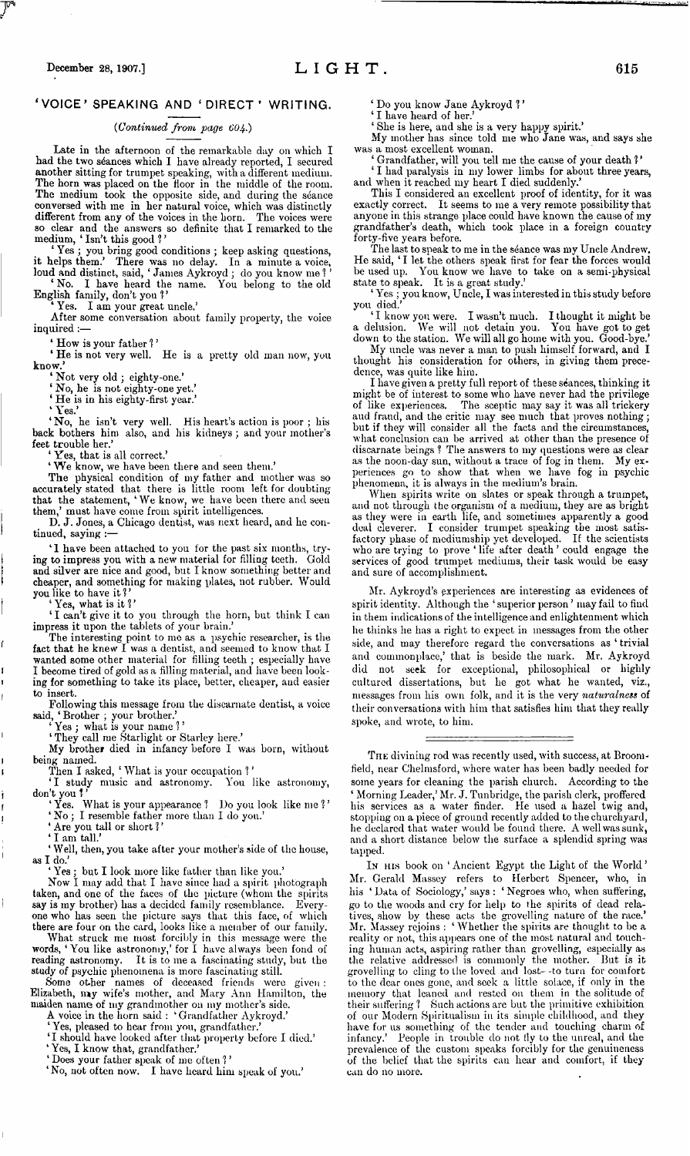## 'VOICE' SPEAKING AND 'DIRECT' WRITING.

### *(Continued from page 604.)*

Late in the afternoon of the remarkable day on which I had the two séances which I have already reported, I secured another sitting for trumpet speaking, with a different medium. The horn was placed on the floor in the middle of the room. The medium took the opposite side, and during the séance conversed with me in her natural voice, which was distinctly different from any of the voices in the horn. The voices were so clear and the answers so definite that I remarked to the medium, ' Isn't this good *<sup>1</sup> '*

' Yes ; you bring good conditions ; keep asking questions, it helps them.' There was no delay. In a minute a voice,

loud and distinct, said, ' Janies Aykroyd ; do you know me ? ' ' No. I have heard the name. You belong to the old English family, don't you?'

Yes. I am your great uncle.'

After some conversation about family property, the voice inquired :—

' How is your father ?'

\* He is not very well. He is a pretty old man now, you know.'

' Not very old ; eighty-one.'

' No, he is not eighty-one yet.'

' He is in his eighty-first year.'

' Yes? 'No, he isn't very well. His heart's action is poor ; his back bothers him also, and his kidneys ; and your mother's feet trouble her.'

es, that is all correct.'

' We know, we have been there and seen them.'

The physical condition of my father and mother was so accurately stated that there is little room left for doubting that the statement, 'We know, we have been there and seen them,' must have come from spirit intelligences.

D. J. Jones, a Chicago dentist, was next heard, and he continued, saying :—

' 1 have been attached to you for the past six months, trying to impress you with a new material for filling teeth. Gold and silver are nice and good, but I know something better and cheaper, and something for making plates, not rubber. Would you like to have it?'

' Yes, what is it ? '

' I can't give it to you through the horn, but think I can impress it upon the tablets of your brain.'

The interesting point to me as a psychic researcher, is the fact that he knew I was a dentist, and seemed to know that I wanted some other material for filling teeth ; especially have I become tired of gold as a filling material, and have been looking for something to take its place, better, cheaper, and easier to insert.

Following this message from the discarnate dentist, a voice said, ' Brother ; your brother.'

' Yes *j* what is your name ? '

' They call me Starlight or Starley here.'

My brother died in infancy before I was born, without being named.

Then I asked, ' What is your occupation ? '

'I study music and astronomy. You like astronomy, don't you?'

' Yes. What is your appearance <sup>1</sup> Do you look like me *<sup>1</sup> ' ' No ;* I resemble father more than I do you.'

' Are you tall or short *<sup>1</sup> '*

I am tall.'

'Well, then, you take after your mother's side of the house, as I do.'

' Yes ; but I look more like father than like you.'

Now I may add that I have since had a spirit photograph taken, and one of the faces of the picture (whom the spirits say is my brother) has a decided family resemblance. Everysay is my brother) has a decided family resemblance. one who has seen the picture says that this face, of which there are four on the card, looks like a member of our family.

What struck me most forcibly in this message were the words, ' You like astronomy,' for I have always been fond of reading astronomy. It is to me a fascinating study, but the study of psychic phenomena is more fascinating still.

Some other names of deceased friends were given : Elizabeth, ray wife's mother, and Mary Ann Hamilton, the maiden name of my grandmother on my mother's side.

A voice in the horn said : ' Grandfather Aykroyd.' 'Yes, pleased to hear from you, grandfather.'

'I should have looked after that property before I died.'

' Yes, I know that, grandfather.' ' Does your father speak of me often *<sup>1</sup> '*

'No, not often now. I have heard him speak of you.'

' Do you know Jane Aykroyd <sup>1</sup> '

'I have heard of her.

' She is here, and she is a very happy spirit.'

My mother has since told me who Jane was, and says she was a most excellent woman.

' Grandfather, will you tell me the cause of your death ? ' ' I had paralysis in my lower limbs for about three years, and when it reached my heart I died suddenly.'

This I considered an excellent proof of identity, for it was exactly correct. It seems to me a very remote possibility that anyone in this strange place could have known the cause of my grandfather's death, which took place in a foreign country

forty-five years before. The last to speak to me in the séance was my Uncle Andrew. He said, ' I let the others speak first for fear the forces would be used up. You know we have to take on a semi-physical state to speak. It is a great study.'

' Yes ; you know, Uncle, I wasinterested in thisstudy before

you died.' ' I know you were. I wasn't much. I thought it might be a delusion. We will not detain you. You have got to get

down to the station. We will all go home with you. Good-bye.' My uncle was never <sup>a</sup> man to push himself forward, and <sup>I</sup> My uncle was never a man to push himself forward, and I thought his consideration for others, in giving them prece-

dence, was quite like him. I have given a pretty full report of these séances, thinking it might be of interest to some who have never had the privilege of like experiences. The sceptic may say it was all trickery aud fraud, and the critic may see much that proves nothing ; but if they will consider all the facts and the circumstances, what conclusion can be arrived at other than the presence of discarnate beings ? The answers to my questions were as clear as the noon-day sun, without a trace of fog in them. My experiences go to show that when we have fog in psychic phenomena, it is always in the medium's brain.

When spirits write on slates or speak through a trumpet, and not through the organism of a medium, they are as bright as they were in earth life, and sometimes apparently a good deal cleverer. I consider trumpet speaking the most satisfactory phase of mediumship yet developed. If the scientists who are trying to prove ' life after death ' could engage the services of good trumpet mediums, their task would be easy and sure of accomplishment.

Mr. Aykroyd's experiences are interesting as evidences of spirit identity. Although the ' superior person ' may fail to find in them indications of the intelligence and enlightenment which he thinks he has a right to expect in messages from the other side, and may therefore regard the conversations as ' trivial and commonplace,' that is beside the mark. Mr. Aykroyd did not seek for exceptional, philosophical or highly cultured dissertations, but he got what he wanted, viz., messages from his own folk, and it is the very *naturalness* of their conversations with him that satisfies him that they really spoke, and wrote, to him.

THE divining rod was recently used, with success, at Broomfield, near Chelmsford, where water has been badly needed for some years for cleaning the parish church. According to the ' Morning Leader,' Mr. J. Tunbridge, the parish clerk, proffered his services as a water finder. He used a hazel twig and, stopping on a piece of ground recently added to the churchyard, he declared that water would be found there. A well was sunk, and a short distance below the surface a splendid spring was tapped.

In his book on 'Ancient Egypt the Light of the World' Mr. Gerald Massey refers to Herbert Spencer, who, in his ' Data of Sociology,' says : ' Negroes who, when suffering, go to the woods and cry for help to the spirits of dead relatives, show by these acts the grovelling nature of the race.' Mr. Massey rejoins : ' Whether the spirits are thought to be a reality or not, this appears one of the most natural and touching human acts, aspiring rather than grovelling, especially as the relative addressed is commonly the mother. But is it grovelling to cling to the loved and lost--to turn for comfort to the dear ones gone, and seek a little solace, if only in the memory that leaned and rested on them in the solitude of their suffering ? Such actions are but the primitive exhibition of our Modern Spiritualism in its simple childhood, and they have for us something of the tender and touching charm of infancy.' People in trouble do not lly to the unreal, and the prevalence of the custom speaks forcibly for the genuineness of the belief that the spirits can hear and comfort, if they can do no more.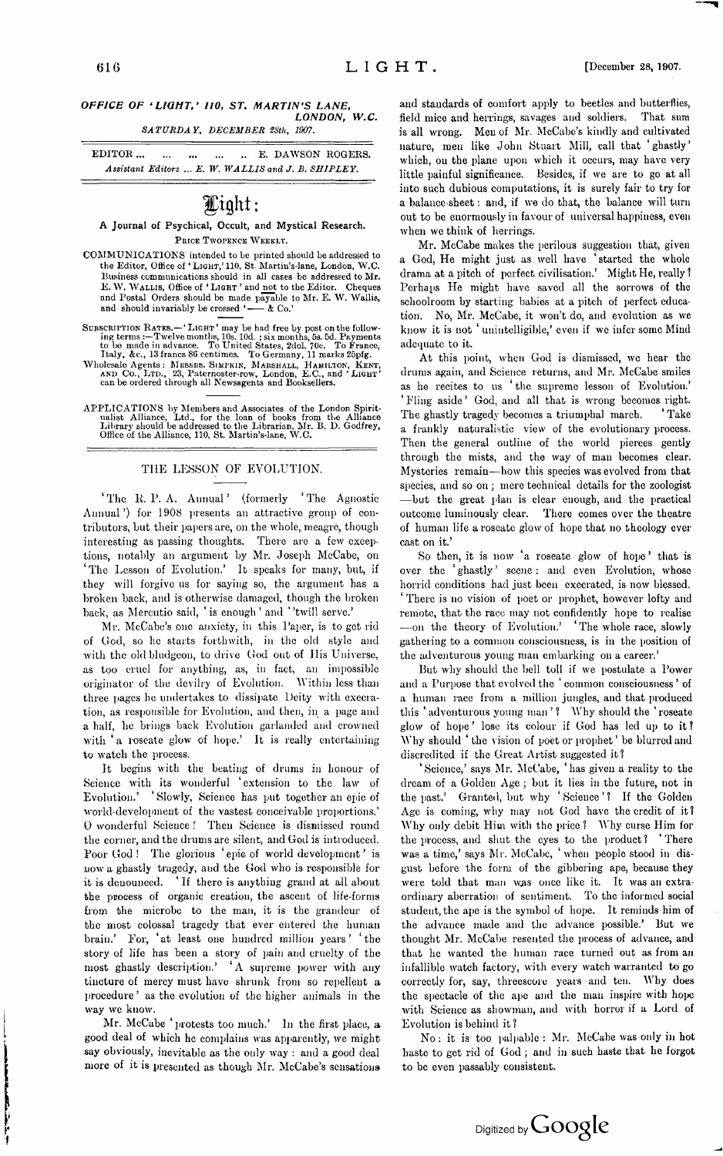## *OFFICE OF 'LIGHT,' 110, ST. MARTIN'S LANE, LONDON, W.C.*

*SATURDAY, DECEMBER 2Sth, 1907.*

EDITOR................................................ E. DAWSON ROGERS. *Assistant Editors ... E. W. WALLIS and J. B. SHIPLEY.*

# Light ;

# **A Journal of Psychical, Occult, and Mystical Research.**

Price Twopence Weekly.

- COMMUNICATIONS intended to be printed should be addressed to the Editor, Office of ' Light,' 110, St. Martin's-lane, London, W.C. Business communications should in all cases be addressed to Mr. E. W. WALLIS, Office of 'LIGHT' and not to the Editor. Cheques and Postal Orders should be made payable to Mr. E. W. Wallis, and should invariably be crossed  $\longleftarrow$  & Co.
- SUBSCRIPTION RATES.— 'LIGHT' may be had free by post on the following terms :—Twelve months, 10s. 10d. ; six months, 5s. 5d. Payments to be made in advance. To United States, 2dol. 70c. To France, Italy, &c., 13 francs 86
- Wholesale Agents: MESSRS. SIMPKIN, MARSHALL, HAMILTON, KENT, AND CO., LTD., 23, Paternoster-row, London, E.C., and 'LIGHT' can be ordered through all Newsagents and Booksellers.
- APPLICATIONS by Members and Associates of the London Spirit-<br>ualist Alliance, Ltd., for the loan of books from the Alliance<br>Library should be addressed to the Librarian, Mr. B. D. Godfrey,<br>Office of the Alliance, 110, St.

## THE LESSON OF EVOLUTION.

'The R. P. A. Annual' (formerly 'The Agnostic Annual') for 1908 presents an attractive group of contributors, but their papers are, on the whole, meagre, though interesting as passing thoughts. There are a few exceptions, notably an argument by Mr. Joseph McCabe, on 'The Lesson of Evolution.' It speaks for many, but, if they will forgive us for saying so, the argument has a broken back, and is otherwise damaged, though the broken back, as Mercutio said, 'is enough' and ''twill serve.'

Mr. McCabe's one anxiety, in this Paper, is to get rid of God, so he starts forthwith, in the old style and with the old bludgeon, to drive God out of His Universe, as too cruel for anything, as, in fact, au impossible originator of the devilry of Evolution. Within less than three pages he undertakes to dissipate Deity with execration, as responsible for Evolution, and then, in a page and a half, he brings back Evolution garlanded and crowned with 'a roseate glow of hope.' It is really entertaining to watch the process.

It begins with the beating of drums in honour of Science with its wonderful 'extension to the law of Evolution.' ' Slowly, Science has put together an epic of world-development of the vastest conceivable proportions.' 0 wonderful Science <sup>1</sup> Then Science is dismissed round the corner, and the drums are silent, and God is introduced. Poor God! The glorious 'epie of world development' is now a ghastly tragedy, and the God who is responsible for it is denounced. ' If there is anything grand at all about the process of organic creation, the ascent of life-forms from the microbe to the man, it is the grandeur of the most colossal tragedy that ever entered the human brain.' For, 'at least one hundred million years' 'the story of life has been a story of pain and cruelty of the most ghastly description.' 'A supreme power with any tincture of mercy must have shrunk from so repellent a procedure ' as the evolution of the higher animals in the way we know.

Mr. McCabe 'protests too much.' In the first place, a good deal of which he complains was apparently, we might say obviously, inevitable as the only way : and a good deal more of it is presented as though Mr. McCabe's sensations

The first contract of the contract of the contract of the contract of the contract of the contract of the contract of

and standards of comfort apply to beetles and butterflies, field mice and herrings, savages and soldiers. That sum is all wrong. Men of Mr. McCabe's kindly and cultivated nature, men like John Stuart Mill, call that 'ghastly' which, on the plane upon which it occurs, may have very little painful significance. Besides, if we are to go at all into such dubious computations, it is surely fair to try for a balance-sheet: and, if we do that, the balance will turn out to be enormously in favour of universal happiness, even when we think of herrings.

Mr. McCabe makes the perilous suggestion that, given a God, He might just as well have 'started the whole drama at a pitch of perfect civilisation.' Might He, really ? Perhaps He might have saved all the sorrows of the schoolroom by starting babies at a pitch of perfect education. No, Mr. McCabe, it won't do, and evolution as we know it is not ' unintelligible,' even if we infer some Mind adequate to it.

At this point, when God is dismissed, we hear the drums again, and Science returns, and Mr. McCabe smiles as he recites to us 'the supreme lesson of Evolution.' ' Fling aside ' God, and all that is wrong becomes right. The ghastly tragedy becomes a triumphal march. a frankly naturalistic view of the evolutionary process. Then the general outline of the world pierces gently through the mists, and the way of man becomes clear. Mysteries remain—how this species was evolved from that species, and so on ; mere technical details for the zoologist —but the great plan is clear enough, and the practical outcome luminously clear. There comes over the theatre of human life a roseate glow of hope that no theology ever cast on it.'

So then, it is now 'a roseate glow of hope ' that is over the 'ghastly' scene: and even Evolution, whose horrid conditions had just been execrated, is now blessed. There is no vision of poet or prophet, however lofty and remote, that the race may not confidently hope to realise —on the theory of Evolution.' 'The whole race, slowly gathering to a common consciousness, is in the position of the adventurous young man embarking on a career.'

But why should the bell toll if we postulate a Power and a Purpose that evolved the 'common consciousness' of a human race from a million jungles, and that produced this 'adventurous young man'? Why should the 'roseate' glow of hope' lose its colour if God has led up to it? Why should ' the vision of poet or prophet' be blurred and discredited if the Great Artist suggested it?

'Science,' says Mr. McCabe, 'has given a reality to the dream of a Golden Age ; but it lies in the future, not in the past.' Granted, but why 'Science'? If the Golden Age is coming, why may not God have the credit of it? Why only debit Him with the price ? Why curse Him for the process, and shut the eyes to the product? 'There was a time,' says Mr. McCabe, ' when people stood in disgust before the form of the gibbering ape, because they were told that man was once like it. It was an extraordinary aberration of sentiment. To the informed social student, the ape is the symbol of hope. It reminds him of the advance made and the advance possible.' But we thought Mr. McCabe resented the process of advance, and that he wanted the human race turned out as from an infallible watch factory, with every watch warranted to go correctly for, say, threescore years and ten. Why does the spectacle of the ape and the man inspire with hope with Science as showman, and with horror if a Lord of Evolution is behind it ?

No; it is too palpable : Mr. McCabe was only in hot haste to get rid of God ; and in such haste that he forgot to be even passably consistent.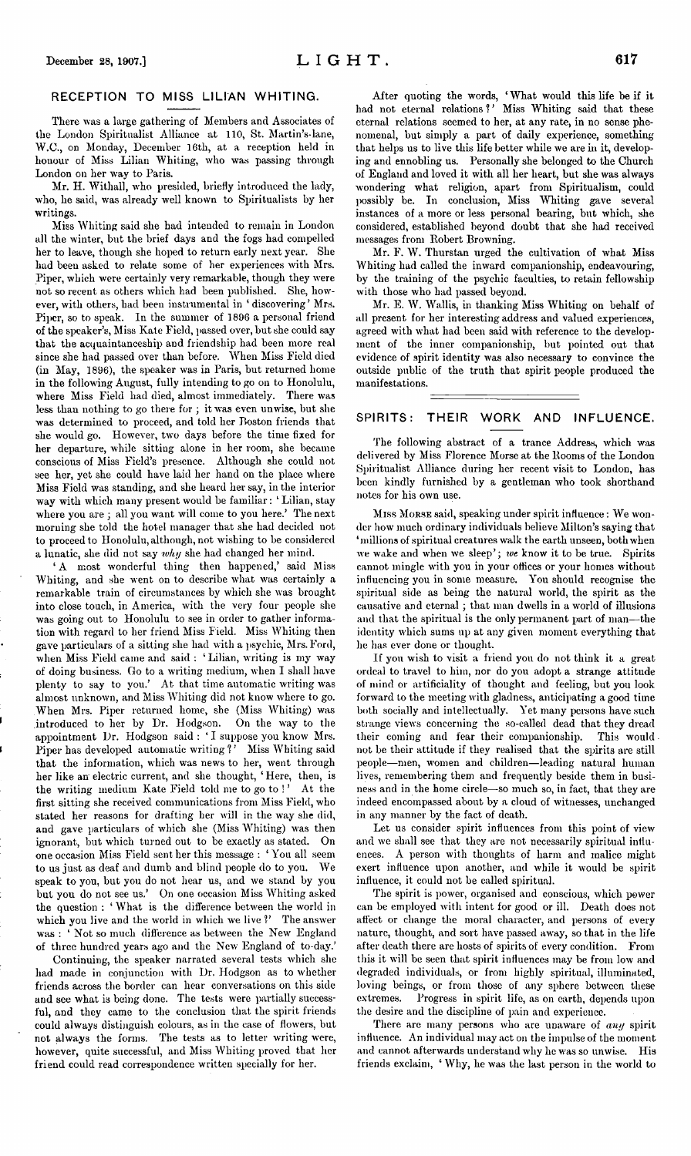### RECEPTION TO MISS LILIAN WHITING.

There was a large gathering of Members and Associates of the London Spiritualist Alliance at 110, St. Martin's-lane, W.C., on Monday, December 16th, at a reception held in honour of Miss Lilian Whiting, who was passing through London on her way to Paris.

Mr. H. Withall, who presided, briefly introduced the lady, who, he said, was already well known to Spiritualists by her writings.

Miss Whiting said she had intended to remain in London all the winter, but the brief days and the fogs had compelled her to leave, though she hoped to return early next year. She had been asked to relate some of her experiences with Mrs. Piper, which were certainly very remarkable, though they were not so recent as others which had been published. She, however, with others, had been instrumental in 'discovering' Mrs. Piper, so to speak. In the summer of 1896 a personal friend of the speaker's, Miss Kate Field, passed over, butshe could say that the acquaintanceship and friendship had been more real since she had passed over than before. When Miss Field died (in May, 1896), the speaker was in Paris, but returned home in the following August, fully intending to go on to Honolulu, where Miss Field had died, almost immediately. There was less than nothing to go there for ; it was even unwise, but she was determined to proceed, and told her Boston friends that she would go. However, two days before the time fixed for her departure, while sitting alone in her room, she became conscious of Miss Field's presence. Although she could not see her, yet she could have laid her hand on the place where Miss Field was standing, and she heard her say, in the interior way with which many present would be familiar: ' Lilian, stay where you are ; all you want will come to you here.' The next morning she told the hotel manager that she had decided not to proceed to Honolulu, although, not wishing to be considered a lunatic, she did not say *why* she had changed her mind.

' A most wonderful thing then happened,' said Miss Whiting, and she went on to describe what was certainly a remarkable train of circumstances by which she was brought into close touch, in America, with the very four people she was going out to Honolulu to see in order to gather information with regard to her friend Miss Field. Miss Whiting then gave particulars of a sitting she had with a psychic, Mrs. Ford, when Miss Field came and said : ' Lilian, writing is my way of doing business. Go to a writing medium, when I shall have plenty to say to you.' At that time automatic writing was almost unknown, and Miss Whiting did not know where to go. When Mrs. Piper returned home, she (Miss Whiting) was introduced to her by Dr. Hodgson. On the way to the appointment Dr. Hodgson said : ' I suppose you know Mrs. Piper has developed automatic writing *<sup>1</sup> '* Miss Whiting said that the information, which was news to her, went through her like an electric current, and she thought, ' Here, then, is the writing medium Kate Field told me to go to!' At the first sitting she received communications from Miss Field, who stated her reasons for drafting her will in the way she did, and gave particulars of which she (Miss Whiting) was then ignorant, but which turned out to be exactly as stated. On one occasion Miss Field sent her this message : 'You all seem to us just as deaf and dumb and blind people do to you. We speak to you, but you do not hear us, and we stand by you but you do not see us.' On one occasion Miss Whiting asked the question : ' What is the difference between the world in which you live and the world in which we live ?' The answer was : ' Not so much difference as between the New England of three hundred years ago and the New England of to-day.'

Continuing, the speaker narrated several tests which she had made in conjunction with Dr. Hodgson as to whether friends across the border can hear conversations on this side and see what is being done. The tests were partially successful, and they came to the conclusion that the spirit friends could always distinguish colours, as in the case of flowers, but not always the forms. The tests as to letter writing were, however, quite successful, and Miss Whiting proved that her friend could read correspondence written specially for her.

After quoting the words, ' What would this life be if it had not eternal relations?' Miss Whiting said that these eternal relations seemed to her, at any rate, in no sense phenomenal, but simply a part of daily experience, something that helps us to live this life better while we are in it, developing and ennobling us. Personally she belonged to the Church of England and loved it with all her heart, but she was always wondering what religion, apart from Spiritualism, could possibly be. In conclusion, Miss Whiting gave several instances of a more or less personal bearing, but which, she considered, established beyond doubt that she had received messages from Robert Browning.

Mr. F. W. Thurstan urged the cultivation of what Miss Whiting had called the inward companionship, endeavouring, by the training of the psychic faculties, to retain fellowship with those who had passed beyond.

Mr. E. W. Wallis, in thanking Miss Whiting on behalf of all present for her interesting address and valued experiences, agreed with what had been said with reference to the development of the inner companionship, but pointed out that evidence of spirit identity was also necessary to convince the outside public of the truth that spirit people produced the manifestations.

## SPIRITS: THEIR WORK AND INFLUENCE.

The following abstract of a trance Address, which was delivered by Miss Florence Morse at the Rooms of the London Spiritualist Alliance during her recent visit to London, has been kindly furnished by a gentleman who took shorthand notes for his own use.

Miss Morse said, speaking under spirit influence: We wonder how much ordinary individuals believe Milton's saying that 'millions of spiritual creatures walk the earth unseen, both when we wake and when we sleep'; *we* know it to be true. Spirits cannot mingle with you in your offices or your homes without influencing you in some measure. You should recognise the spiritual side as being the natural world, the spirit as the causative and eternal ; that man dwells in a world of illusions and that the spiritual is the only permanent part of man—the identity which sums up at any given moment everything that he has ever done or thought.

If you wish to visit a friend you do not think it a great ordeal to travel to him, nor do you adopt a strange attitude of mind or artificiality of thought and feeling, but you look forward to the meeting with gladness, anticipating a good time both socially and intellectually. Yet many persons have such strange views concerning the so-called dead that they dread their coming and fear their companionship. This would not be their attitude if they realised that the spirits are still people—men, women and children—leading natural human lives, remembering them and frequently beside them in business and in the home circle—so much so, in fact, that they are indeed encompassed about by a cloud of witnesses, unchanged in any manner by the fact of death.

Let us consider spirit influences from this point of view and we shall see that they are not necessarily spiritual influences. A person with thoughts of harm and malice might exert influence upon another, and while it would be spirit influence, it could not be called spiritual.

The spirit is power, organised and conscious, which power can be employed with intent for good or ill. Death does not affect or change the moral character, and persons of every nature, thought, and sort have passed away, so that in the life after death there are hosts of spirits of every condition. From this it will be seen that spirit influences may be from low and degraded individuals, or from highly spiritual, illuminated, loving beings, or from those of any sphere between these extremes. Progress in spirit life, as on earth, depends upon the desire and the discipline of pain and experience.

There are many persons who are unaware of *any* spirit influence. An individual may act on the impulse of the moment and cannot afterwards understand why he was so unwise. His friends exclaim, ' Why, he was the last person in the world to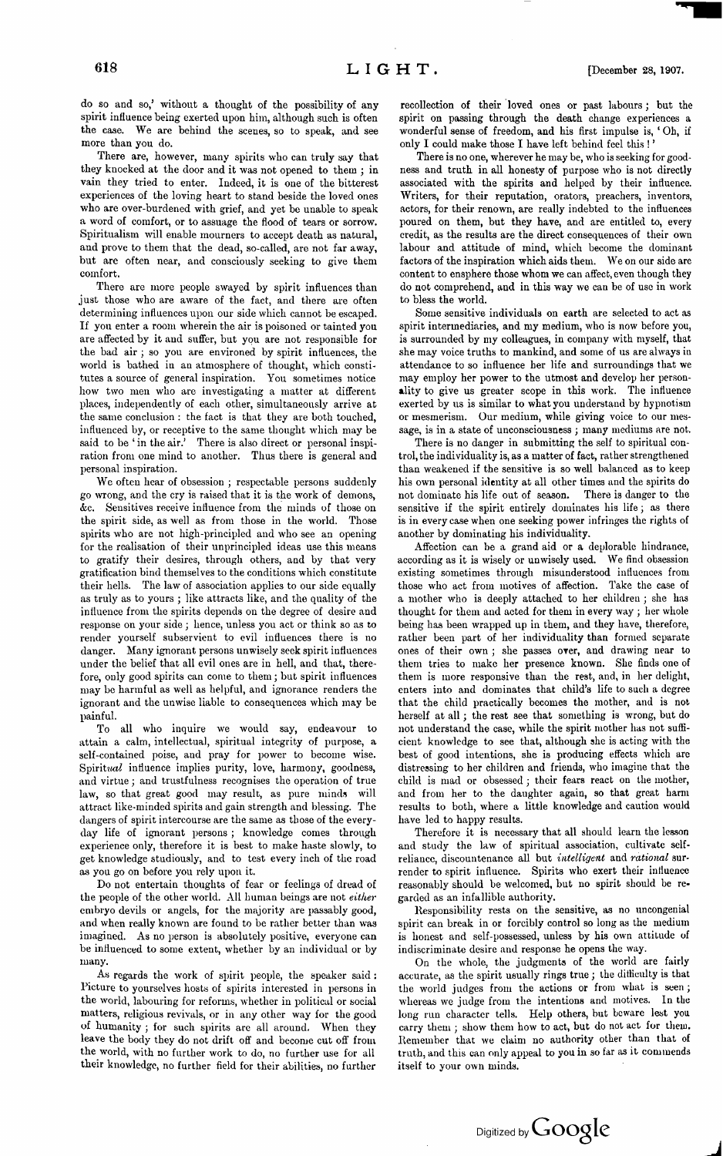do so and so,' without a thought of the possibility of any spirit influence being exerted upon him, although such is often the case. We are behind the scenes, so to speak, and see more than you do.

There are, however, many spirits who can truly say that they knocked at the door and it was not opened to them ; in vain they tried to enter. Indeed, it is one of the bitterest experiences of the loving heart to stand beside the loved ones who are over-burdened with grief, and yet be unable to speak a word of comfort, or to assuage the flood of tears or sorrow. Spiritualism will enable mourners to accept death as natural, and prove to them that the dead, so-called, are not far away, but are often near, and consciously seeking to give them comfort.

There are more people swayed by spirit influences than just those who are aware of the fact, and there are often determining influences upon our side which cannot be escaped. If you enter a room wherein the air is poisoned or tainted you are affected by it and suffer, but you are not responsible for the bad air *; so* you are environed by spirit influences, the world is bathed in an atmosphere of thought, which constitutes a source of general inspiration. You sometimes notice how two men who are investigating a matter at different places, independently of each other, simultaneously arrive at the same conclusion : the fact is that they are both touched, influenced by, or receptive to the same thought which may be said to be 'in the air.' There is also direct or personal inspiration from one mind to another. Thus there is general and personal inspiration.

We often hear of obsession ; respectable persons suddenly go wrong, and the cry is raised that it is the work of demons, dec. Sensitives receive influence from the minds of those on the spirit side, as well as from those in the world. Those spirits who are not high-principled and who see an opening for the realisation of their unprincipled ideas use this means to gratify their desires, through others, and by that very gratification bind themselves to the conditions which constitute their hells. The law of association applies to our side equally as truly as to yours ; like attracts like, and the quality of the influence from the spirits depends on the degree of desire and response on your side; hence, unless you act or think so as to render yourself subservient to evil influences there is no danger. Many ignorant persons unwisely seek spirit influences under the belief that all evil ones are in hell, and that, therefore, only good spirits can come to them; but spirit influences may be harmful as well as helpful, and ignorance renders the ignorant and the unwise liable to consequences which may be painful.

To all who inquire we would say, endeavour to attain a calm, intellectual, spiritual integrity of purpose, a self-contained poise, and pray for power to become wise. Spiritual influence implies purity, love, harmony, goodness, and virtue; and trustfulness recognises the operation of true law, so that great good may result, as pure minds will attract like-minded spirits and gain strength and blessing. The dangers of spirit intercourse are the same as those of the everyday life of ignorant persons ; knowledge comes through experience only, therefore it is best to make haste slowly, to get knowledge studiously, and to test every inch of the road as you go on before you rely upon it.

Do not entertain thoughts of fear or feelings of dread of the people of the other world. All human beings are not *either* embryo devils or angels, for the majority are passably good, and when really known are found to be rather better than was imagined. As no person is absolutely positive, everyone can be influenced to some extent, whether by an individual or by many.

As regards the work of spirit people, the speaker said : Picture to yourselves hosts of spirits interested in persons in the world, labouring for reforms, whether in political or social matters, religious revivals, or in any other way for the good of humanity ; for such spirits are all around. When they leave the body they do not drift off and become cut off from the world, with no further work to do, no further use for all their knowledge, no further field for their abilities, no further

recollection of their loved ones or past labours; but the spirit on passing through the death change experiences a wonderful sense of freedom, and his first impulse is, ' Oh, if only I could make those I have left behind feel this !

There is no one, wherever he may be, who is seeking for goodness and truth in all honesty of purpose who is not directly associated with the spirits and helped by their influence. Writers, for their reputation, orators, preachers, inventors, actors, for their renown, are really indebted to the influences poured on them, but they have, and are entitled to, every credit, as the results are the direct consequences of their own labour and attitude of mind, which become the dominant factors of the inspiration which aids them. We on our side are content to ensphere those whom we can affect, even though they do not comprehend, and in this way we can be of use in work to bless the world.

Some sensitive individuals on earth are selected to act as spirit intermediaries, and my medium, who is now before you, is surrounded by my colleagues, in company with myself, that she may voice truths to mankind, and some of us are always in attendance to so influence her life and surroundings that we may employ her power to the utmost and develop her personality to give us greater scope in this work. The influence exerted by us is similar to what you understand by hypnotism or mesmerism. Our medium, while giving voice to our message, is in a state of unconsciousness ; many mediums are not.

There is no danger in submitting the self to spiritual control, the individuality is, as a matter of fact, rather strengthened than weakened if the sensitive is so well balanced as to keep his own personal identity at all other times and the spirits do not dominate his life out of season. There is danger to the sensitive if the spirit entirely dominates his life; as there is in every case when one seeking power infringes the rights of another by dominating his individuality.

Affection can be a grand aid or a deplorable hindrance, according as it is wisely or unwisely used. We find obsession existing sometimes through misunderstood influences from those who act from motives of affection. Take the case of a mother who is deeply attached to her children ; she has thought for them and acted for them in every way ; her whole being has been wrapped up in them, and they have, therefore, rather been part of her individuality than formed separate ones of their own ; she passes over, and drawing near to them tries to make her presence known. She finds one of them is more responsive than the rest, and, in her delight, enters into and dominates that child's life to such a degree that the child practically becomes the mother, and is not herself at all; the rest see that something is wrong, but do not understand the case, while the spirit mother has not sufficient knowledge to see that, although she is acting with the best of good intentions, she is producing effects which are distressing to her children and friends, who imagine that the child is mad or obsessed; their fears react on the mother, and from her to the daughter again, so that great harm results to both, where a little knowledge and caution would have led to happy results.

Therefore it is necessary that all should learn the lesson and study the law of spiritual association, cultivate selfreliance, discountenance all but *intelligent* and *rational* surrender to spirit influence. Spirits who exert their influence reasonably should be welcomed, but no spirit should be regarded as an infallible authority.

Responsibility rests on the sensitive, as no uncongenial spirit can break in or forcibly control so long as the medium is honest and self-possessed, unless by his own attitude of indiscriminate desire and response he opens the way.

On the whole, the judgments of the world are fairly accurate, as the spirit usually rings true ; the difficulty is that the world judges from the actions or from what is seen ; whereas we judge from the intentions and motives. In the long run character tells. Help others, but beware lest you carry them ; show them how to act, but do not act for them. Remember that we claim no authority other than that of truth, and this can only appeal to you in so far as it commends itself to your own minds.

Digitized by **GOOQle**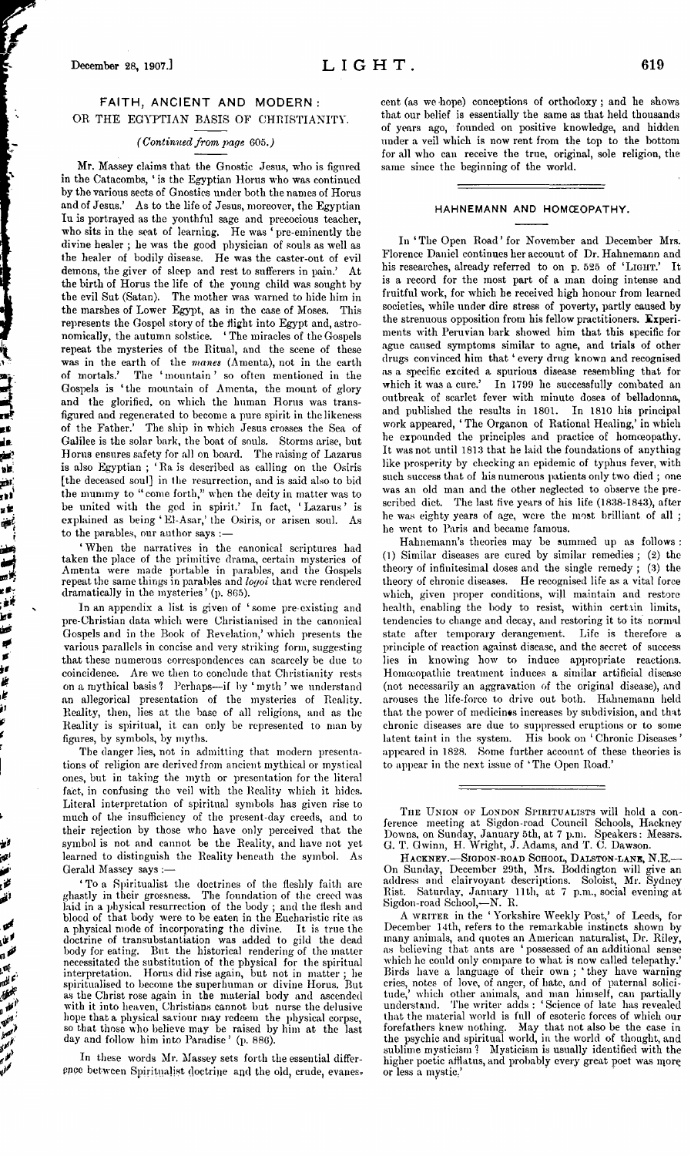## FAITH, ANCIENT AND MODERN: OR THE EGYPTIAN BASIS OF CHRISTIANITY.

### *(Continuedfrom page* 605.J

Mr. Massey claims that the Gnostic Jesus, who is figured in the Catacombs, ' is the Egyptian Horus who was continued by the various sects of Gnostics under both the names of Horus and of Jesus.' As to the life of Jesus, moreover, the Egyptian lu is portrayed as the youthful sage and precocious teacher, who sits in the seat of learning. He was ' pre-eminently the divine healer ; he was the good physician of souls as well as the healer of bodily disease. He was the caster-out of evil demons, the giver of sleep and rest to sufferers in pain.' At the birth of Horus the life of the young child was sought by the evil Sut (Satan). The mother was warned to hide him in the marshes of Lower Egypt, as in the case of Moses. This represents the Gospel story of the flight into Egypt and, astronomically, the autumn solstice. ' The miracles of the Gospels repeat the mysteries of the Ritual, and the scene of these was in the earth of the *manes* (Amenta), not in the earth of mortals.' The 'mountain' so often mentioned in the Gospels is ' the mountain of Amenta, the mount of glory and the glorified, on which the human Horus was transfigured and regenerated to become a pure spirit in the likeness of the Father.' The ship in which Jesus crosses the Sea of Galilee is the solar bark, the boat of souls. Storms arise, but Horus ensures safety for all on board. The raising of Lazarus is also Egyptian ; 'Ra is described as calling on the Osiris [the deceased soul] in the resurrection, and is said also to bid the mummy to " come forth," when the deity in matter was to be united with the god in spirit.' In fact, 'Lazarus' is explained as being ' El-Asar,' the Osiris, or arisen soul. As to the parables, our author says :-

'When the narratives in the canonical scriptures had taken the place of the primitive drama, certain mysteries of Amenta were made portable in parables, and the Gospels repeat the same things in parables and *logoi* that were rendered dramatically in the mysteries ' (p. 865).

In an appendix a list is given of 'some pre existing and pre-Christian data which were Christianised in the canonical Gospels and in the Book of Revelation,' which presents the various parallels in concise and very striking form, suggesting that these numerous correspondences can scarcely be due to coincidence. Are we then to conclude that Christianity rests on a mythical basis ? Perhaps—if by ' myth ' we understand an allegorical presentation of the mysteries of Reality. Reality, then, lies at the base of all religions, and as the Reality is spiritual, it can only be represented to man by figures, by symbols, by myths.

The danger lies, not in admitting that modern presentations of religion are derived from ancient mythical or mystical ones, but in taking the myth or presentation for the literal fact, in confusing the veil with the Reality which it hides. Literal interpretation of spiritual symbols has given rise to much of the insufficiency of the present-day creeds, and to their rejection by those who have only perceived that the symbol is not and cannot be the Reality, and have not yet learned to distinguish the Reality beneath the symbol. As Gerald Massey says :—

' To a Spiritualist the doctrines of the fleshly faith are ghastly in their grossness. The foundation of the creed was laid in a physical resurrection of the body ; and the flesh and blood of that body were to be eaten in the Eucharistic rite as a physical mode of incorporating the divine. It is true the doctrine of transubstantiation was added to gild the dead body for eating. But the historical rendering of the matter necessitated the substitution of the physical for the spiritual interpretation. Horus did rise again, but not in matter ; he spiritualised to become the superhuman or divine Horus. But as the Christ rose again in the material body and ascended with it into heaven, Christians cannot but nurse the delusive hope that a physical saviour may redeem the physical corpse, so that those who believe may be raised by him at the last day and follow him into Paradise ' (p. 886).

*i?* **S'**

医医阿耳氏病 医阿尔氏试验检尿道 医骨骨的 医骨髓膜膜

j1

In these words Mr. Massey sets forth the essential difference between Spiritualist doctrine and the old, crude, evanescent (as we -hope) conceptions of orthodoxy; and he shows that our belief is essentially the same as that held thousands of years ago, founded on positive knowledge, and hidden under a veil which is now rent from the top to the bottom for all who can receive the true, original, sole religion, the same since the beginning of the world.

#### HAHNEMANN AND HOMCEOPATHY.

In'The Open Road'for November and December Mrs. Florence Daniel continues her account of Dr. Hahnemann and his researches, already referred to on p. 525 of 'LIGHT.' It is a record for the most part of a man doing intense and fruitful work, for which he received high honour from learned societies, while under dire stress of poverty, partly caused by the strenuous opposition from his fellow practitioners. Experiments with Peruvian bark showed him that this specific for ague caused symptoms similar to ague, and trials of other drugs convinced him that ' every drug known and recognised as a specific excited a spurious disease resembling that for which it was a cure.' In 1799 he successfully combated an outbreak of scarlet fever with minute doses of belladonna, and published the results in 1801. work appeared, ' The Organon of Rational Healing,' in which he expounded the principles and practice of homoeopathy. It was not until <sup>1813</sup> that he laid the foundations of anything like prosperity by checking an epidemic of typhus fever, with such success that of his numerous patients only two died ; one was an old man and the other neglected to observe the prescribed diet. The last five years of his life (1838-1843), after he was eighty years of age, were the most brilliant of all ; he went to Paris and became famous.

Hahnemann's theories may be summed up as follows : (1) Similar diseases are cured by similar remedies; (2) the theory of infinitesimal doses and the single remedy ; (3) the theory of chronic diseases. He recognised life as a vital force which, given proper conditions, will maintain and restore health, enabling the body to resist, within certain limits, tendencies to change and decay, and restoring it to its normal state after temporary derangement. Life is therefore a principle of reaction against disease, and the secret of success lies in knowing how to induce appropriate reactions. Homceopathic treatment induces a similar artificial disease (not necessarily an aggravation of the original disease), and arouses the life-force to drive out both. Hahnemann held that the power of medicines increases by subdivision, and that chronic diseases are due to suppressed eruptions or to some latent taint in the system. His book on ' Chronic Diseases ' appeared in 1828. Some further account of these theories is to appear in the next issue of 'The Open Road.'

THE UNION OF LONDON SPIRITUALISTS will hold a conference meeting at Sigdon-road Council Schools, Hackney' Downs, on Sunday, January 5th, at <sup>7</sup> p.m. Speakers: Messrs. G. T. Gwinn, H. Wright, J. Adams, and T. C. Dawson.

HACKNEY.-SIGDON-ROAD SCHOOL, DALSTON-LANE, N.E. On Sunday, December 29th, Mrs. Boddington will give an address and clairvoyant descriptions. Soloist, Mr. Sydney Rist. Saturday, January 11th, at 7 p.m., social evening at Sigdon-road School,—N. R.

A writter in the 'Yorkshire Weekly Post,' of Leeds, for December 14th, refers to the remarkable instincts shown by many animals, and quotes an American naturalist, Dr. Riley, as believing that ants are ' possessed of an additional sense which he could only compare to what is now called telepathy.' Birds have a language of their own ; ' they have warning cries, notes of love, of anger, of hate, and of paternal solicitude,' which other animals, and man himself, can partially understand. The writer adds : ' Science of late has revealed that the material world is full of esoteric forces of which our forefathers knew nothing. May that not also be the case in the psychic and spiritual world, in the world of thought, and sublime mysticism? Mysticism is usually identified with the higher poetic afflatus, and probably every great poet was morq or less a mystic.'